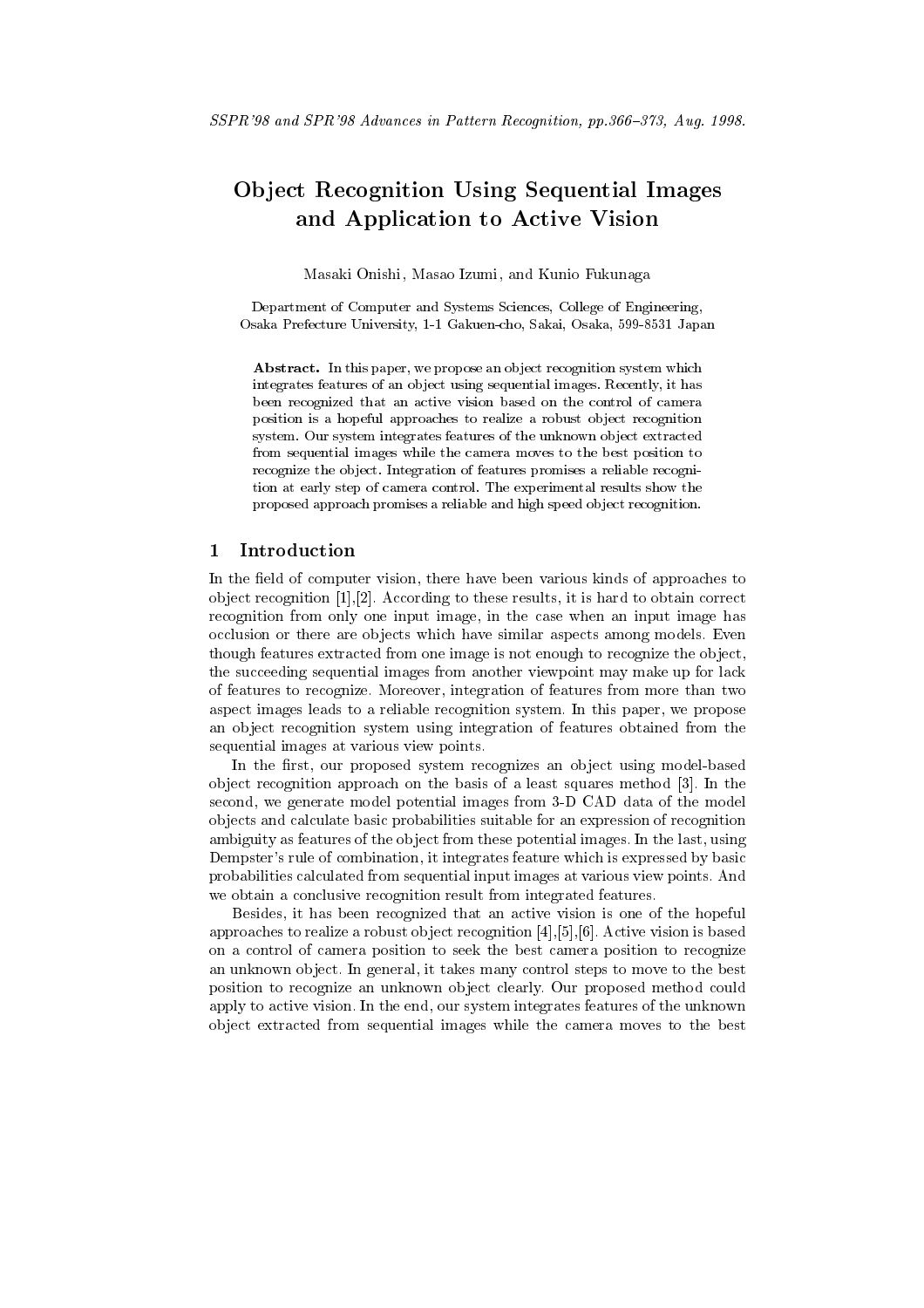# **Object Recognition Using Sequential Images** and Application to Active Vision

Masaki Onishi, Masao Izumi, and Kunio Fukunaga

Department of Computer and Systems Sciences, College of Engineering, Osaka Prefecture University, 1-1 Gakuen-cho, Sakai, Osaka, 599-8531 Japan

**Abstract.** In this paper, we propose an object recognition system which integrates features of an object using sequential images. Recently, it has been recognized that an active vision based on the control of camera position is a hopeful approaches to realize a robust object recognition system. Our system integrates features of the unknown object extracted from sequential images while the camera moves to the best position to recognize the object. Integration of features promises a reliable recognition at early step of camera control. The experimental results show the proposed approach promises a reliable and high speed object recognition.

#### Introduction  $\mathbf{1}$

In the field of computer vision, there have been various kinds of approaches to object recognition  $[1],[2]$ . According to these results, it is hard to obtain correct recognition from only one input image, in the case when an input image has occlusion or there are objects which have similar aspects among models. Even though features extracted from one image is not enough to recognize the object, the succeeding sequential images from another viewpoint may make up for lack of features to recognize. Moreover, integration of features from more than two aspect images leads to a reliable recognition system. In this paper, we propose an object recognition system using integration of features obtained from the sequential images at various view points.

In the first, our proposed system recognizes an object using model-based object recognition approach on the basis of a least squares method [3]. In the second, we generate model potential images from 3-D CAD data of the model objects and calculate basic probabilities suitable for an expression of recognition ambiguity as features of the object from these potential images. In the last, using Dempster's rule of combination, it integrates feature which is expressed by basic probabilities calculated from sequential input images at various view points. And we obtain a conclusive recognition result from integrated features.

Besides, it has been recognized that an active vision is one of the hopeful approaches to realize a robust object recognition  $[4],[5],[6]$ . Active vision is based on a control of camera position to seek the best camera position to recognize an unknown object. In general, it takes many control steps to move to the best position to recognize an unknown object clearly. Our proposed method could apply to active vision. In the end, our system integrates features of the unknown object extracted from sequential images while the camera moves to the best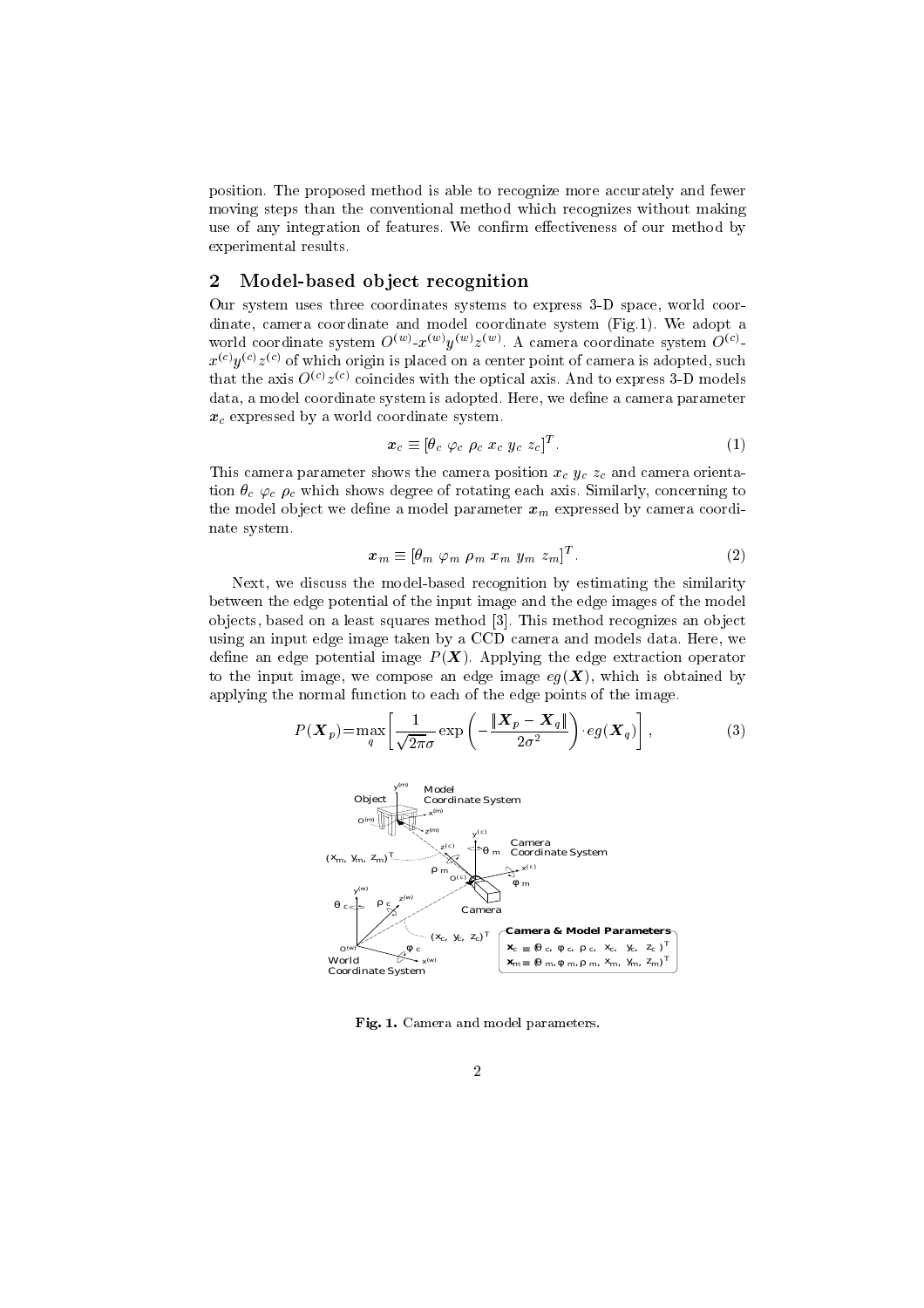" 2 -  --\$ - % - - %  % - -\$ - -" 3 4 \$ experimental results.

### 

Our system uses three coordinates systems to express 3-D space, world coor-- -- - - - \$ 5"6" 3 - world coordinate system  $O^{(+)}x^{(-)}y^{(-)}z^{(-)}$ . A camera coordinate system  $O^{(+)}$  $x \mapsto y \mapsto z \mapsto$  or which origin is placed on a center point or camera is adopted, such that the axis  $O^{(\varepsilon)} z^{(\varepsilon)}$  coincides with the optical axis. And to express 3-D models  $\blacksquare$  . The set of the set of the set of the set of the set of the set of the set of the set of the set of the set of the set of the set of the set of the set of the set of the set of the set of the set of the set of the  $x_c$  expressed by a world coordinate system.

$$
\boldsymbol{x}_c \equiv [\theta_c \ \varphi_c \ \rho_c \ \boldsymbol{x}_c \ \boldsymbol{y}_c \ \boldsymbol{z}_c]^T. \tag{1}
$$

 $\frac{1}{2}$  .  $\frac{1}{2}$  .  $\frac{1}{2}$  .  $\frac{1}{2}$  .  $\frac{1}{2}$  .  $\frac{1}{2}$  .  $\frac{1}{2}$  .  $\frac{1}{2}$  .  $\frac{1}{2}$  .  $\frac{1}{2}$  .  $\frac{1}{2}$  .  $\frac{1}{2}$  .  $\frac{1}{2}$  .  $\frac{1}{2}$  .  $\frac{1}{2}$  .  $\frac{1}{2}$  .  $\frac{1}{2}$  .  $\frac{1}{2}$  .  $\frac{1$ tion  $\theta_c$   $\varphi_c$   $\rho_c$  which shows degree of rotating each axis. Similarly, concerning to the model object we define a model parameter  $x_m$  expressed by camera coordi-- \$"

$$
\boldsymbol{x}_m \equiv [\theta_m \ \varphi_m \ \rho_m \ x_m \ y_m \ z_m]^T. \tag{2}
$$

Next, we discuss the model-based recognition by estimating the similarity % - 
 - - - - - - (
- \* " 2  - - 
 - - \$ - ,,+ -- - --" 7 % define an edge potential image  $P(\boldsymbol{X})$ . Applying the edge extraction operator - % - - 5-6 % - \$ -\$ - - -"

$$
P(\boldsymbol{X}_p) = \max_{q} \left[ \frac{1}{\sqrt{2\pi}\sigma} \exp\left(-\frac{\|\boldsymbol{X}_p - \boldsymbol{X}_q\|}{2\sigma^2}\right) \cdot eg(\boldsymbol{X}_q) \right],
$$
 (3)



r is a comera and moder parameters.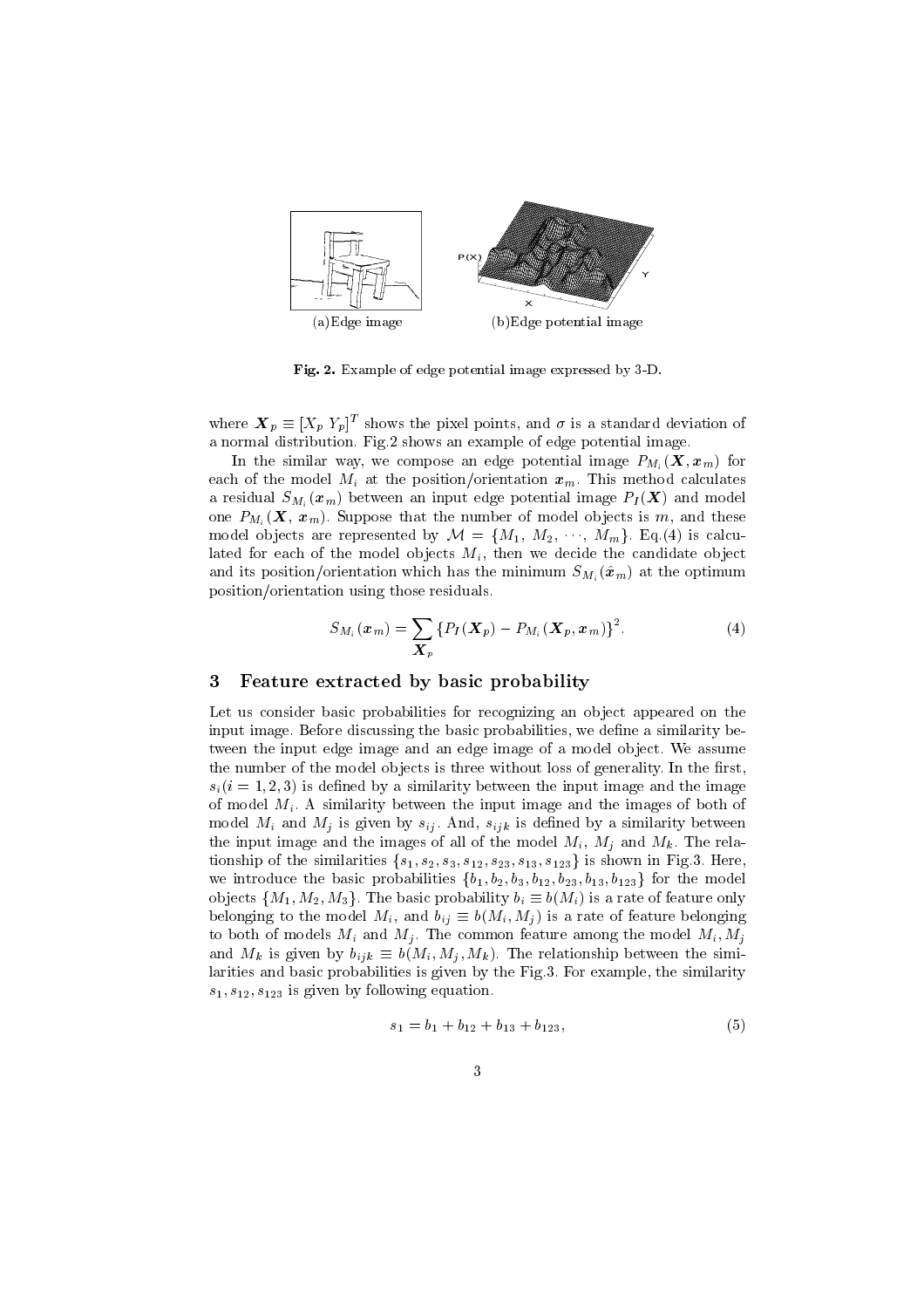

Fig. 2. Example of edge potential image expressed by 3-D.

where  $\mathbf{X}_p \equiv [X_p Y_p]^T$  shows the pixel points, and  $\sigma$  is a standard deviation of a normal distribution. Fig.2 shows an example of edge potential image.

In the similar way, we compose an edge potential image  $P_{M_i}(\boldsymbol{X}, \boldsymbol{x}_m)$  for each of the model  $M_i$  at the position/orientation  $x_m$ . This method calculates a residual  $S_{M_i}(x_m)$  between an input edge potential image  $P_I(X)$  and model one  $P_{M_i}(\mathbf{X}, \mathbf{x}_m)$ . Suppose that the number of model objects is m, and these model objects are represented by  $\mathcal{M} = \{M_1, M_2, \cdots, M_m\}$ . Eq.(4) is calculated for each of the model objects  $M_i$ , then we decide the candidate object and its position/orientation which has the minimum  $S_{M_i}(\hat{x}_m)$  at the optimum position/orientation using those residuals.

$$
S_{M_i}(\boldsymbol{x}_m) = \sum_{\boldsymbol{X}_p} \left\{ P_I(\boldsymbol{X}_p) - P_{M_i}(\boldsymbol{X}_p, \boldsymbol{x}_m) \right\}^2.
$$
 (4)

#### Feature extracted by basic probability 3

Let us consider basic probabilities for recognizing an object appeared on the input image. Before discussing the basic probabilities, we define a similarity between the input edge image and an edge image of a model object. We assume the number of the model objects is three without loss of generality. In the first,  $s_i (i = 1, 2, 3)$  is defined by a similarity between the input image and the image of model  $M_i$ . A similarity between the input image and the images of both of model  $M_i$  and  $M_j$  is given by  $s_{ij}$ . And,  $s_{ijk}$  is defined by a similarity between the input image and the images of all of the model  $M_i$ ,  $M_j$  and  $M_k$ . The relationship of the similarities  $\{s_1, s_2, s_3, s_{12}, s_{23}, s_{13}, s_{123}\}$  is shown in Fig.3. Here, we introduce the basic probabilities  $\{b_1, b_2, b_3, b_{12}, b_{23}, b_{13}, b_{123}\}$  for the model objects  $\{M_1, M_2, M_3\}$ . The basic probability  $b_i \equiv b(M_i)$  is a rate of feature only belonging to the model  $M_i$ , and  $b_{ij} \equiv b(M_i, M_j)$  is a rate of feature belonging to both of models  $M_i$  and  $M_j$ . The common feature among the model  $M_i, M_j$ and  $M_k$  is given by  $b_{ijk} \equiv b(M_i, M_j, M_k)$ . The relationship between the similarities and basic probabilities is given by the Fig.3. For example, the similarity  $s_1, s_{12}, s_{123}$  is given by following equation.

$$
s_1 = b_1 + b_{12} + b_{13} + b_{123}, \t\t(5)
$$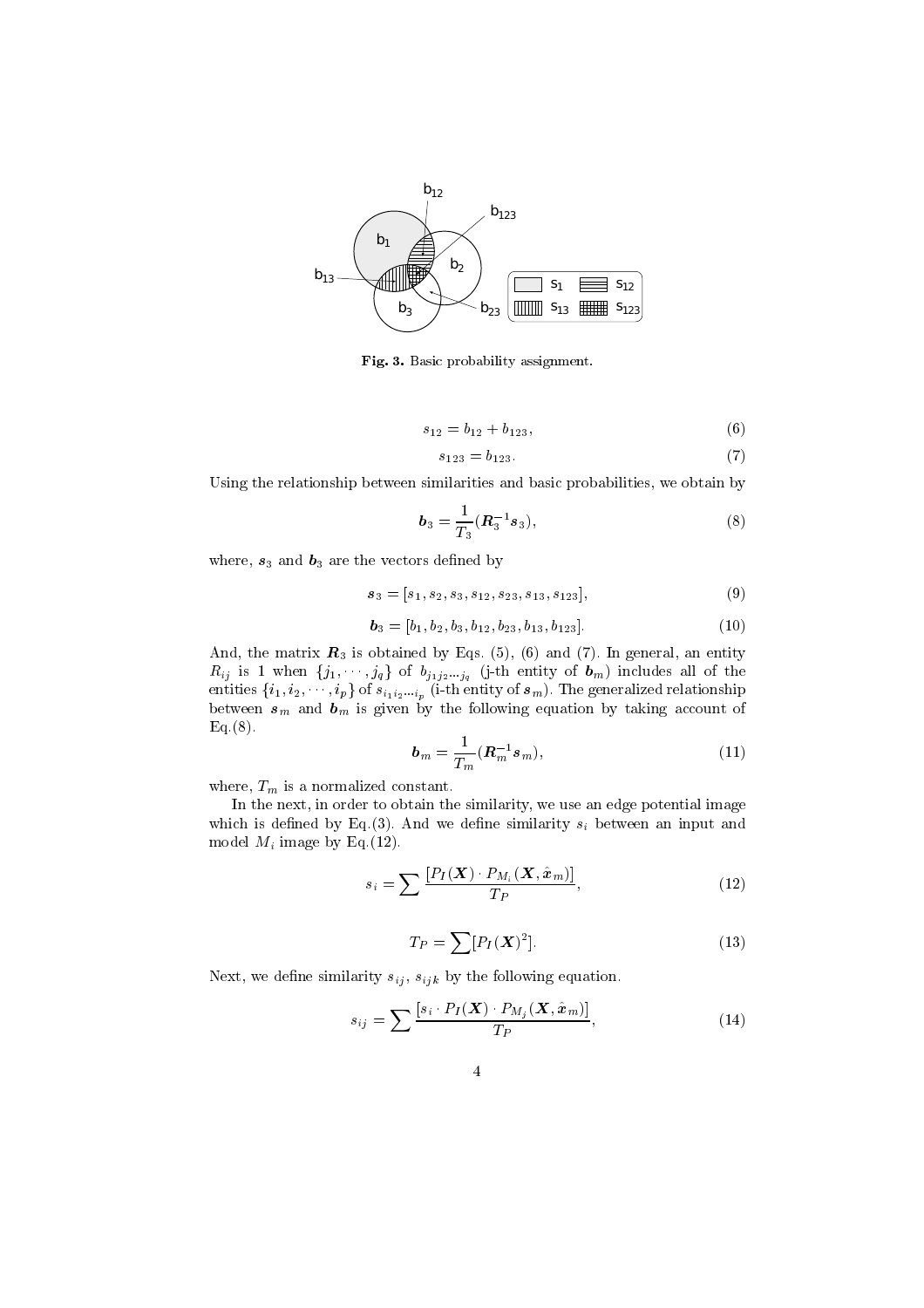

Fig. 3. Basic probability assignment.

$$
s_{12} = b_{12} + b_{123},\tag{6}
$$

$$
s_{123} = b_{123} \tag{7}
$$

Using the relationship between similarities and basic probabilities, we obtain by

$$
b_3 = \frac{1}{T_3} (\mathbf{R}_3^{-1} s_3), \tag{8}
$$

where,  $s_3$  and  $b_3$  are the vectors defined by

$$
s_3 = [s_1, s_2, s_3, s_{12}, s_{23}, s_{13}, s_{123}], \t\t(9)
$$

$$
\boldsymbol{b}_3 = [b_1, b_2, b_3, b_{12}, b_{23}, b_{13}, b_{123}]. \tag{10}
$$

And, the matrix  $\mathbf{R}_3$  is obtained by Eqs. (5), (6) and (7). In general, an entity  $R_{ij}$  is 1 when  $\{j_1, \dots, j_q\}$  of  $b_{j_1j_2...j_q}$  (j-th entity of  $b_m$ ) includes all of the entities  $\{i_1, i_2, \dots, i_p\}$  of  $s_{i_1i_2...i_p}$  (i-th entity of  $s_m$ ). The generalized relationship between  $s_m$  and  $b_m$  is give  $Eq. (8).$ 

$$
\boldsymbol{b}_m = \frac{1}{T_m} (\boldsymbol{R}_m^{-1} \boldsymbol{s}_m), \tag{11}
$$

where,  $T_m$  is a normalized constant.

In the next, in order to obtain the similarity, we use an edge potential image which is defined by Eq. (3). And we define similarity  $s_i$  between an input and model  $M_i$  image by Eq. (12).

$$
s_i = \sum \frac{[P_I(\boldsymbol{X}) \cdot P_{M_i}(\boldsymbol{X}, \hat{\boldsymbol{x}}_m)]}{T_P},
$$
\n(12)

$$
T_P = \sum [P_I(\mathbf{X})^2]. \tag{13}
$$

Next, we define similarity  $s_{ij}$ ,  $s_{ijk}$  by the following equation.

$$
s_{ij} = \sum \frac{[s_i \cdot P_I(\boldsymbol{X}) \cdot P_{M_j}(\boldsymbol{X}, \hat{\boldsymbol{x}}_m)]}{T_P},
$$
\n(14)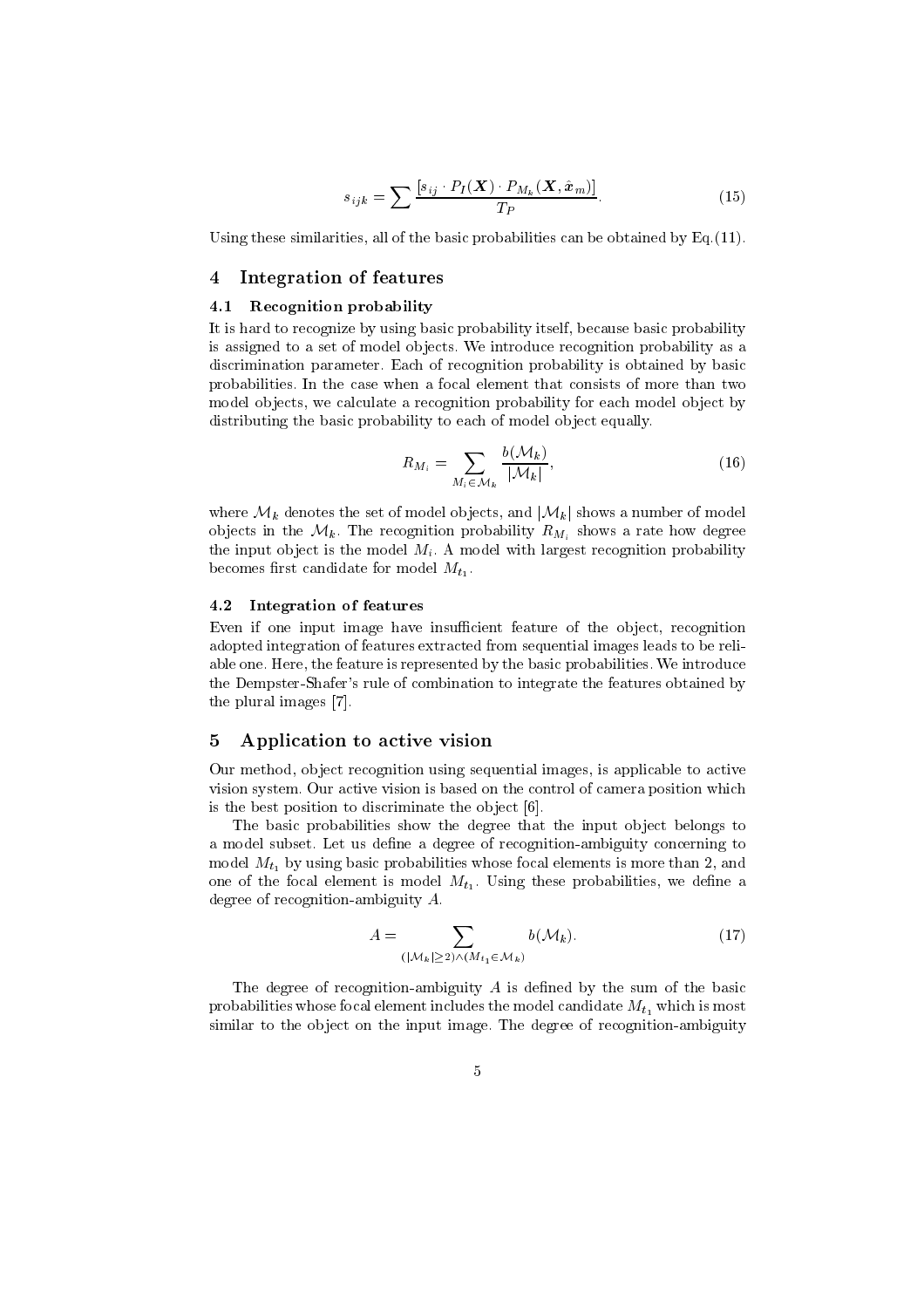$$
s_{ijk} = \sum \frac{[s_{ij} \cdot P_I(\boldsymbol{X}) \cdot P_{M_k}(\boldsymbol{X}, \hat{\boldsymbol{x}}_m)]}{T_P}.
$$
 (15)

Using these similarities, all of the basic probabilities can be obtained by  $Eq.(11)$ .

#### 4 Integration of features

#### 4.1 Recognition probability

It is hard to recognize by using basic probability itself, because basic probability is assigned to a set of model objects. We introduce recognition probability as a discrimination parameter. Each of recognition probability is obtained by basic probabilities. In the case when a focal element that consists of more than two model objects, we calculate a recognition probability for each model object by distributing the basic probability to each of model object equally.

$$
R_{M_i} = \sum_{M_i \in \mathcal{M}_k} \frac{b(\mathcal{M}_k)}{|\mathcal{M}_k|},\tag{16}
$$

where  $\mathcal{M}_k$  denotes the set of model objects, and  $|\mathcal{M}_k|$  shows a number of model objects in the  $\mathcal{M}_k$ . The recognition probability  $R_{M_i}$  shows a rate how degree the input object is the model  $M_i$ . A model with largest recognition probability becomes first candidate for model  $M_{t_1}$ .

### 4.2 Integration of features

Even if one input image have insufficient feature of the object, recognition adopted integration of features extracted from sequential images leads to be reliable one. Here, the feature is represented by the basic probabilities. We introduce the Dempster-Shafer's rule of combination to integrate the features obtained by the plural images [7].

#### $\overline{5}$ Application to active vision

Our method, object recognition using sequential images, is applicable to active vision system. Our active vision is based on the control of camera position which is the best position to discriminate the object [6].

The basic probabilities show the degree that the input object belongs to a model subset. Let us define a degree of recognition-ambiguity concerning to model  $M_{t_1}$  by using basic probabilities whose focal elements is more than 2, and one of the focal element is model  $M_{t_1}$ . Using these probabilities, we define a degree of recognition-ambiguity  $A$ .

$$
A = \sum_{\left(|\mathcal{M}_k| \ge 2\right) \wedge \left(M_{t_1} \in \mathcal{M}_k\right)} b(\mathcal{M}_k). \tag{17}
$$

The degree of recognition-ambiguity  $A$  is defined by the sum of the basic probabilities whose focal element includes the model candidate  $M_{t_1}$  which is most similar to the object on the input image. The degree of recognition-ambiguity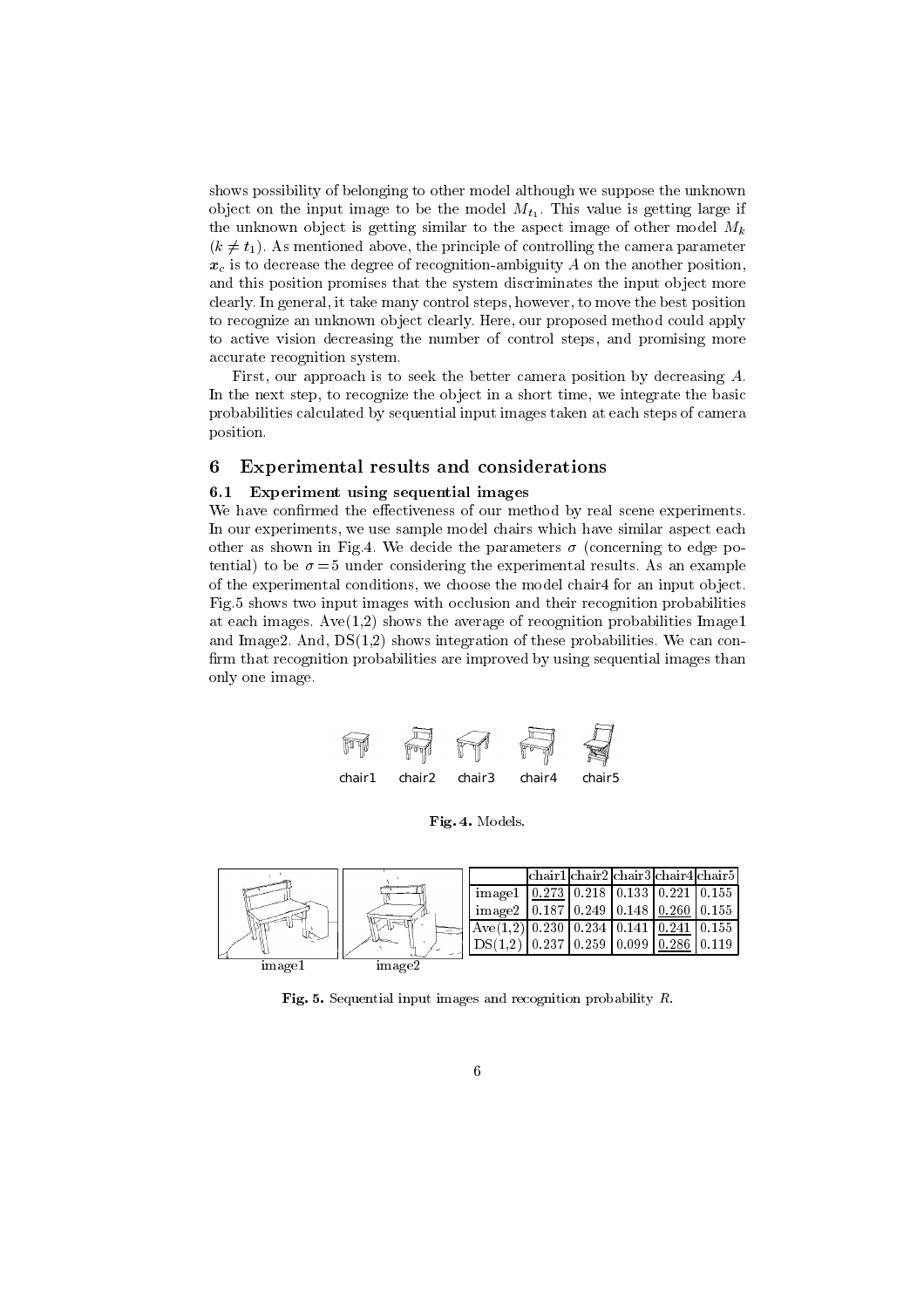shows possibility of belonging to other model although we suppose the unknown object on the input image to be the model  $M_{t_1}$ . This value is getting large if the unknown object is getting similar to the aspect image of other model  $M_k$  $(k \neq t_1)$ . As mentioned above, the principle of controlling the camera parameter  $x_c$  is to decrease the degree of recognition-ambiguity A on the another position, and this position promises that the system discriminates the input object more clearly. In general, it take many control steps, however, to move the best position to recognize an unknown object clearly. Here, our proposed method could apply to active vision decreasing the number of control steps, and promising more accurate recognition system.

First, our approach is to seek the better camera position by decreasing A. In the next step, to recognize the object in a short time, we integrate the basic probabilities calculated by sequential input images taken at each steps of camera position.

#### **Experimental results and considerations** 6

#### $6.1$ Experiment using sequential images

We have confirmed the effectiveness of our method by real scene experiments. In our experiments, we use sample model chairs which have similar aspect each other as shown in Fig.4. We decide the parameters  $\sigma$  (concerning to edge potential) to be  $\sigma = 5$  under considering the experimental results. As an example of the experimental conditions, we choose the model chair4 for an input object. Fig.5 shows two input images with occlusion and their recognition probabilities at each images.  $Ave(1,2)$  shows the average of recognition probabilities Image1 and Image2. And,  $DS(1,2)$  shows integration of these probabilities. We can confirm that recognition probabilities are improved by using sequential images than only one image.



Fig. 4. Models.



Fig. 5. Sequential input images and recognition probability  $R$ .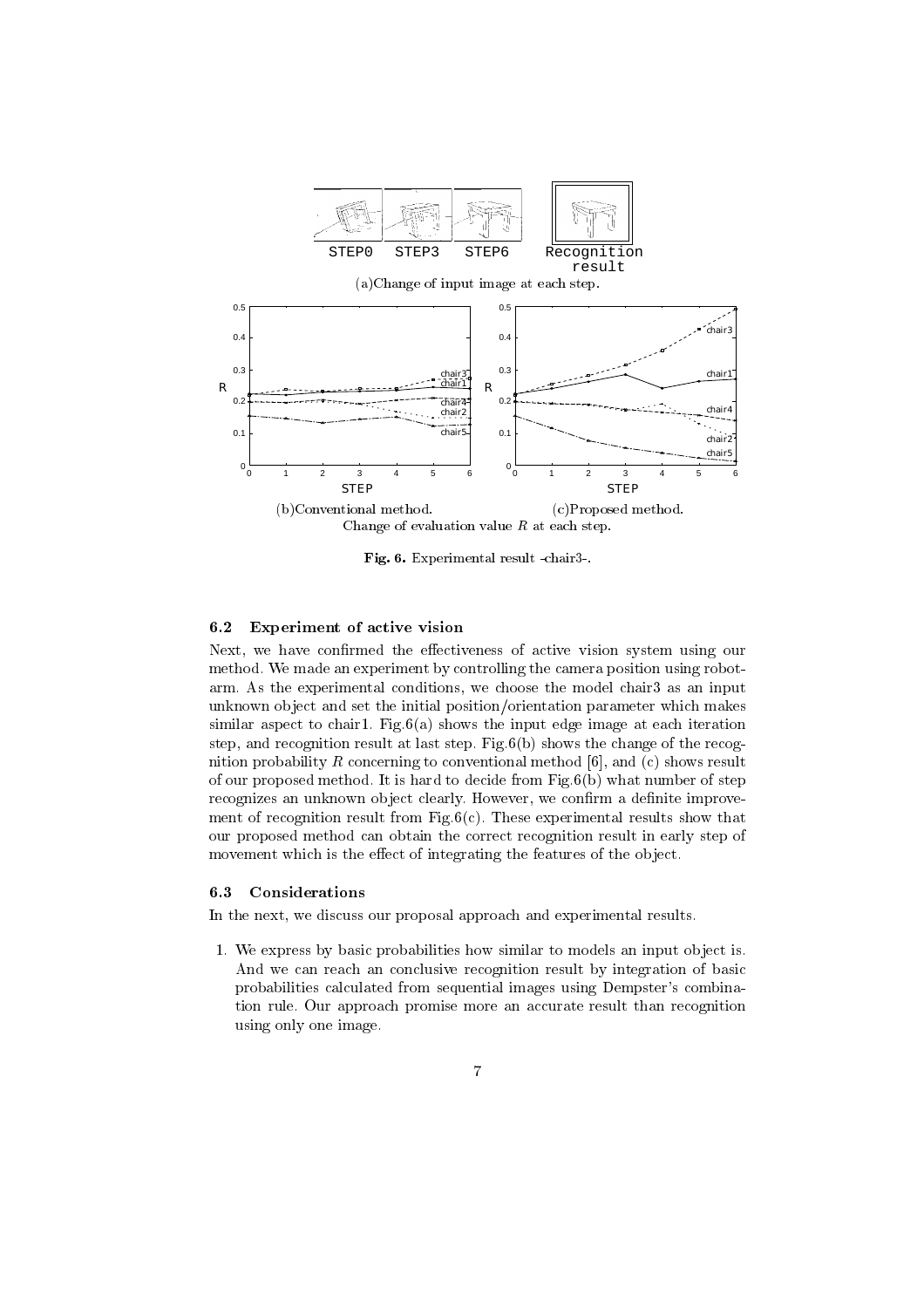

 --- - #\*

#### $6.2$  $\blacksquare$  Experiment of aborts throm

Ivext, we have confirmed the effectiveness of active vision system using our method. We made an experiment by controlling the camera position using robotarm. As the experimental conditions, we choose the model chairs as an input % - - ; - -- % - - - -" "15-6 % 
 - - - - - 
 - - " "156 % - ) -\$ - 1 - 56 %  $\blacksquare$  . The set of the set of the set of the set of the set of the set of the set of the set of the set of the set of the set of the set of the set of the set of the set of the set of the set of the set of the set of the  $\mathbf{r}$  , and  $\mathbf{r}$  are the state of the state of the state of the state of the state of the state of the state of the state of the state of the state of the state of the state of the state of the state of the state o ment of recognition result from  $F(g.o(c))$ . These experimental results show that - - 
 -\$ % 4 - - "

### $6.3$

In the next, we discuss our proposal approach and experimental results.

1. We express by pasic propabilities now similar to models an input object is. # % - - - \$ - - - -- (
- - 
 +- -) " - - - -- - \$ -"